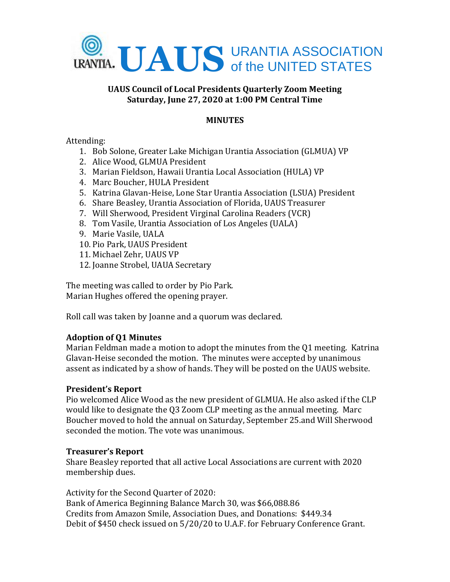

# **UAUS Council of Local Presidents Quarterly Zoom Meeting Saturday, June 27, 2020 at 1:00 PM Central Time**

# **MINUTES**

## Attending:

- 1. Bob Solone, Greater Lake Michigan Urantia Association (GLMUA) VP
- 2. Alice Wood, GLMUA President
- 3. Marian Fieldson, Hawaii Urantia Local Association (HULA) VP
- 4. Marc Boucher, HULA President
- 5. Katrina Glavan-Heise, Lone Star Urantia Association (LSUA) President
- 6. Share Beasley, Urantia Association of Florida, UAUS Treasurer
- 7. Will Sherwood, President Virginal Carolina Readers (VCR)
- 8. Tom Vasile, Urantia Association of Los Angeles (UALA)
- 9. Marie Vasile, UALA
- 10. Pio Park, UAUS President
- 11. Michael Zehr, UAUS VP
- 12. Joanne Strobel, UAUA Secretary

The meeting was called to order by Pio Park. Marian Hughes offered the opening prayer.

Roll call was taken by Joanne and a quorum was declared.

# **Adoption of Q1 Minutes**

Marian Feldman made a motion to adopt the minutes from the Q1 meeting. Katrina Glavan-Heise seconded the motion. The minutes were accepted by unanimous assent as indicated by a show of hands. They will be posted on the UAUS website.

### **President's Report**

Pio welcomed Alice Wood as the new president of GLMUA. He also asked if the CLP would like to designate the Q3 Zoom CLP meeting as the annual meeting. Marc Boucher moved to hold the annual on Saturday, September 25.and Will Sherwood seconded the motion. The vote was unanimous.

### **Treasurer's Report**

Share Beasley reported that all active Local Associations are current with 2020 membership dues.

Activity for the Second Quarter of 2020: Bank of America Beginning Balance March 30, was \$66,088.86 Credits from Amazon Smile, Association Dues, and Donations: \$449.34 Debit of \$450 check issued on 5/20/20 to U.A.F. for February Conference Grant.